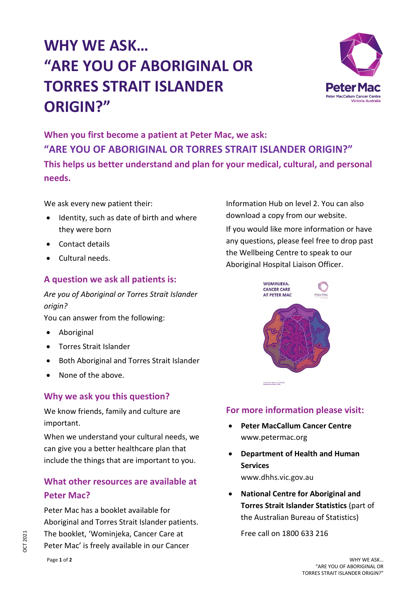# **WHY WE ASK… "ARE YOU OF ABORIGINAL OR TORRES STRAIT ISLANDER ORIGIN?"**



**When you first become a patient at Peter Mac, we ask: "ARE YOU OF ABORIGINAL OR TORRES STRAIT ISLANDER ORIGIN?" This helps us better understand and plan for your medical, cultural, and personal needs.**

We ask every new patient their:

- Identity, such as date of birth and where they were born
- Contact details
- Cultural needs.

### **A question we ask all patients is:**

*Are you of Aboriginal or Torres Strait Islander origin?*

You can answer from the following:

- Aboriginal
- Torres Strait Islander
- Both Aboriginal and Torres Strait Islander
- None of the above.

### **Why we ask you this question?**

We know friends, family and culture are important.

When we understand your cultural needs, we can give you a better healthcare plan that include the things that are important to you.

## **What other resources are available at Peter Mac?**

Peter Mac has a booklet available for Aboriginal and Torres Strait Islander patients. The booklet, 'Wominjeka, Cancer Care at Peter Mac' is freely available in our Cancer

Information Hub on level 2. You can also download a copy from our website. If you would like more information or have any questions, please feel free to drop past the Wellbeing Centre to speak to our Aboriginal Hospital Liaison Officer.



## **For more information please visit:**

- **Peter MacCallum Cancer Centre** www.petermac.org
- **Department of Health and Human Services** www.dhhs.vic.gov.au
- **National Centre for Aboriginal and Torres Strait Islander Statistics** (part of the Australian Bureau of Statistics)

Free call on 1800 633 216